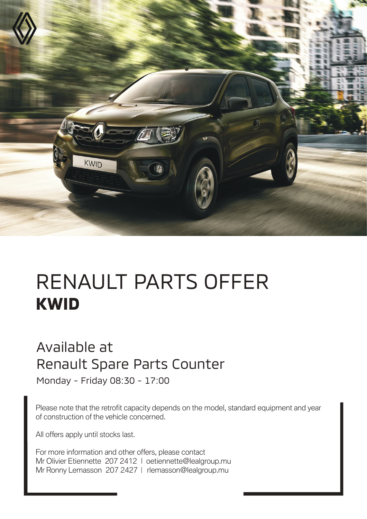

## RENAULT PARTS OFFER **KWID**

## Available at Renault Spare Parts Counter

Monday - Friday 08:30 - 17:00

Please note that the retrofit capacity depends on the model, standard equipment and year of construction of the vehicle concerned.

All offers apply until stocks last.

For more information and other offers, please contact Mr Olivier Etiennette 207 2412 | oetiennette@lealgroup.mu Mr Ronny Lemasson 207 2427 | rlemasson@lealgroup.mu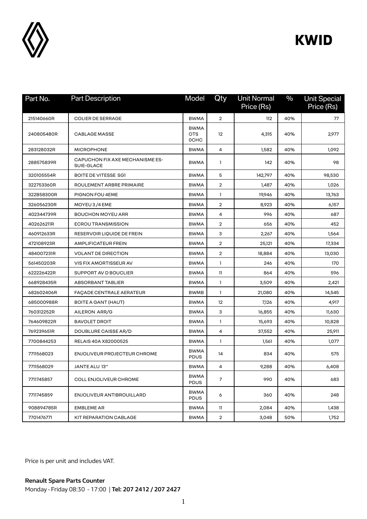

## **KWID**

| Part No.   | <b>Part Description</b>                       | Model                                    | Qty             | <b>Unit Normal</b><br>Price (Rs) | $\%$ | <b>Unit Special</b><br>Price (Rs) |
|------------|-----------------------------------------------|------------------------------------------|-----------------|----------------------------------|------|-----------------------------------|
| 215140660R | <b>COLIER DE SERRAGE</b>                      | <b>BWMA</b>                              | $\overline{2}$  | 112                              | 40%  | 77                                |
| 240805480R | <b>CABLAGE MASSE</b>                          | <b>BWMA</b><br><b>OTS</b><br><b>OCHC</b> | 12 <sup>°</sup> | 4,315                            | 40%  | 2,977                             |
| 283128032R | <b>MICROPHONE</b>                             | <b>BWMA</b>                              | 4               | 1,582                            | 40%  | 1,092                             |
| 288575839R | CAPUCHON FIX AXE MECHANISME ES-<br>SUIE-GLACE | <b>BWMA</b>                              | 1               | 142                              | 40%  | 98                                |
| 320105554R | <b>BOITE DE VITESSE SGI</b>                   | <b>BWMA</b>                              | 5               | 142,797                          | 40%  | 98,530                            |
| 322753360R | ROULEMENT ARBRE PRIMAIRE                      | <b>BWMA</b>                              | $\overline{2}$  | 1,487                            | 40%  | 1,026                             |
| 322B58300R | PIGNON FOU 4EME                               | <b>BWMA</b>                              | $\mathbf{1}$    | 19,946                           | 40%  | 13,763                            |
| 326056230R | MOYEU 3/4 EME                                 | <b>BWMA</b>                              | $\overline{2}$  | 8,923                            | 40%  | 6,157                             |
| 402344739R | <b>BOUCHON MOYEU ARR</b>                      | <b>BWMA</b>                              | 4               | 996                              | 40%  | 687                               |
| 402626211R | <b>ECROU TRANSMISSION</b>                     | <b>BWMA</b>                              | $\overline{2}$  | 656                              | 40%  | 452                               |
| 460912633R | RESERVOIR LIQUIDE DE FREIN                    | <b>BWMA</b>                              | 3               | 2,267                            | 40%  | 1,564                             |
| 472108923R | <b>AMPLIFICATEUR FREIN</b>                    | <b>BWMA</b>                              | $\overline{2}$  | 25,121                           | 40%  | 17,334                            |
| 484007231R | <b>VOLANT DE DIRECTION</b>                    | <b>BWMA</b>                              | $\overline{2}$  | 18,884                           | 40%  | 13,030                            |
| 561450203R | VIS FIX AMORTISSEUR AV                        | <b>BWMA</b>                              | $\mathbf{1}$    | 246                              | 40%  | 170                               |
| 622226422R | SUPPORT AV D BOUCLIER                         | <b>BWMA</b>                              | 11              | 864                              | 40%  | 596                               |
| 668928435R | <b>ABSORBANT TABLIER</b>                      | <b>BWMA</b>                              | 1               | 3,509                            | 40%  | 2,421                             |
| 682602406R | FAÇADE CENTRALE AERATEUR                      | <b>BWMB</b>                              | $\mathbf{1}$    | 21,080                           | 40%  | 14,545                            |
| 685000988R | BOITE A GANT (HAUT)                           | <b>BWMA</b>                              | 12              | 7,126                            | 40%  | 4,917                             |
| 760312252R | AILERON ARR/G                                 | <b>BWMA</b>                              | 3               | 16,855                           | 40%  | 11,630                            |
| 764609822R | <b>BAVOLET DROIT</b>                          | <b>BWMA</b>                              | 1               | 15,693                           | 40%  | 10,828                            |
| 769239651R | DOUBLURE CAISSE AR/D                          | <b>BWMA</b>                              | 4               | 37,552                           | 40%  | 25,911                            |
| 7700844253 | RELAIS 40A X82000525                          | <b>BWMA</b>                              | $\mathbf{1}$    | 1,561                            | 40%  | 1,077                             |
| 7711568023 | <b>ENJOLIVEUR PROJECTEUR CHROME</b>           | <b>BWMA</b><br><b>PDUS</b>               | 14              | 834                              | 40%  | 575                               |
| 7711568029 | <b>JANTE ALU 13"</b>                          | <b>BWMA</b>                              | 4               | 9,288                            | 40%  | 6,408                             |
| 7711745857 | <b>COLL ENJOLIVEUR CHROME</b>                 | <b>BWMA</b><br><b>PDUS</b>               | 7               | 990                              | 40%  | 683                               |
| 7711745859 | ENJOLIVEUR ANTIBROUILLARD                     | <b>BWMA</b><br><b>PDUS</b>               | 6               | 360                              | 40%  | 248                               |
| 908894785R | <b>EMBLEME AR</b>                             | <b>BWMA</b>                              | 11              | 2,084                            | 40%  | 1,438                             |
| 7701476771 | KIT REPARATION CABLAGE                        | <b>BWMA</b>                              | $\overline{2}$  | 3,048                            | 50%  | 1,752                             |

Price is per unit and includes VAT.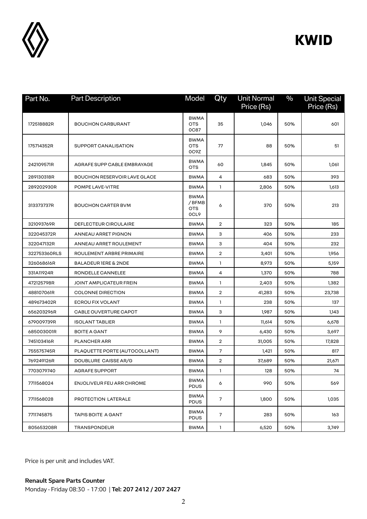

## **KWID**

| Part No.     | <b>Part Description</b>             | Model                                       | Qty            | <b>Unit Normal</b><br>Price (Rs) | $\frac{0}{0}$ | <b>Unit Special</b><br>Price (Rs) |
|--------------|-------------------------------------|---------------------------------------------|----------------|----------------------------------|---------------|-----------------------------------|
| 172518882R   | <b>BOUCHON CARBURANT</b>            | <b>BWMA</b><br><b>OTS</b><br><b>0C87</b>    | 35             | 1,046                            | 50%           | 601                               |
| 175714352R   | SUPPORT CANALISATION                | <b>BWMA</b><br><b>OTS</b><br>OC9Z           | 77             | 88                               | 50%           | 51                                |
| 242109571R   | AGRAFE SUPP CABLE EMBRAYAGE         | <b>BWMA</b><br><b>OTS</b>                   | 60             | 1,845                            | 50%           | 1,061                             |
| 289130318R   | <b>BOUCHON RESERVOIR LAVE GLACE</b> | <b>BWMA</b>                                 | 4              | 683                              | 50%           | 393                               |
| 289202930R   | POMPE LAVE-VITRE                    | <b>BWMA</b>                                 | 1              | 2,806                            | 50%           | 1,613                             |
| 313373737R   | <b>BOUCHON CARTER BVM</b>           | <b>BWMA</b><br>/ BFMB<br><b>OTS</b><br>OCL9 | 6              | 370                              | 50%           | 213                               |
| 321093769R   | DEFLECTEUR CIRCULAIRE               | <b>BWMA</b>                                 | $\overline{2}$ | 323                              | 50%           | 185                               |
| 322045372R   | <b>ANNEAU ARRET PIGNON</b>          | <b>BWMA</b>                                 | 3              | 406                              | 50%           | 233                               |
| 322047132R   | ANNEAU ARRET ROULEMENT              | <b>BWMA</b>                                 | 3              | 404                              | 50%           | 232                               |
| 322753360RLS | ROULEMENT ARBRE PRIMAIRE            | <b>BWMA</b>                                 | $\overline{2}$ | 3,401                            | 50%           | 1,956                             |
| 326068616R   | <b>BALADEUR IERE &amp; 2NDE</b>     | <b>BWMA</b>                                 | $\mathbf{1}$   | 8,973                            | 50%           | 5,159                             |
| 331A11924R   | RONDELLE CANNELEE                   | <b>BWMA</b>                                 | 4              | 1,370                            | 50%           | 788                               |
| 472125798R   | JOINT AMPLICATEUR FREIN             | <b>BWMA</b>                                 | $\mathbf{1}$   | 2,403                            | 50%           | 1,382                             |
| 488107061R   | <b>COLONNE DIRECTION</b>            | <b>BWMA</b>                                 | $\overline{2}$ | 41,283                           | 50%           | 23,738                            |
| 489673402R   | ECROU FIX VOLANT                    | <b>BWMA</b>                                 | $\mathbf{1}$   | 238                              | 50%           | 137                               |
| 656203296R   | CABLE OUVERTURE CAPOT               | <b>BWMA</b>                                 | 3              | 1,987                            | 50%           | 1,143                             |
| 679009739R   | <b>ISOLANT TABLIER</b>              | <b>BWMA</b>                                 | $\mathbf{1}$   | 11,614                           | 50%           | 6,678                             |
| 685003001R   | <b>BOITE A GANT</b>                 | <b>BWMA</b>                                 | 9              | 6,430                            | 50%           | 3,697                             |
| 745103416R   | <b>PLANCHER ARR</b>                 | <b>BWMA</b>                                 | $\overline{2}$ | 31,005                           | 50%           | 17,828                            |
| 755575745R   | PLAQUETTE PORTE (AUTOCOLLANT)       | <b>BWMA</b>                                 | $\overline{7}$ | 1,421                            | 50%           | 817                               |
| 769249126R   | DOUBLURE CAISSE AR/G                | <b>BWMA</b>                                 | $\overline{2}$ | 37,689                           | 50%           | 21,671                            |
| 7703079740   | AGRAFE SUPPORT                      | <b>BWMA</b>                                 | $\mathbf{1}$   | 128                              | 50%           | 74                                |
| 7711568024   | ENJOLIVEUR FEU ARR CHROME           | <b>BWMA</b><br><b>PDUS</b>                  | 6              | 990                              | 50%           | 569                               |
| 7711568028   | PROTECTION LATERALE                 | <b>BWMA</b><br><b>PDUS</b>                  | $\overline{7}$ | 1,800                            | 50%           | 1,035                             |
| 7711745875   | <b>TAPIS BOITE A GANT</b>           | <b>BWMA</b><br><b>PDUS</b>                  | 7              | 283                              | 50%           | 163                               |
| 805653208R   | TRANSPONDEUR                        | <b>BWMA</b>                                 | $\mathbf{1}$   | 6,520                            | 50%           | 3,749                             |

Price is per unit and includes VAT.